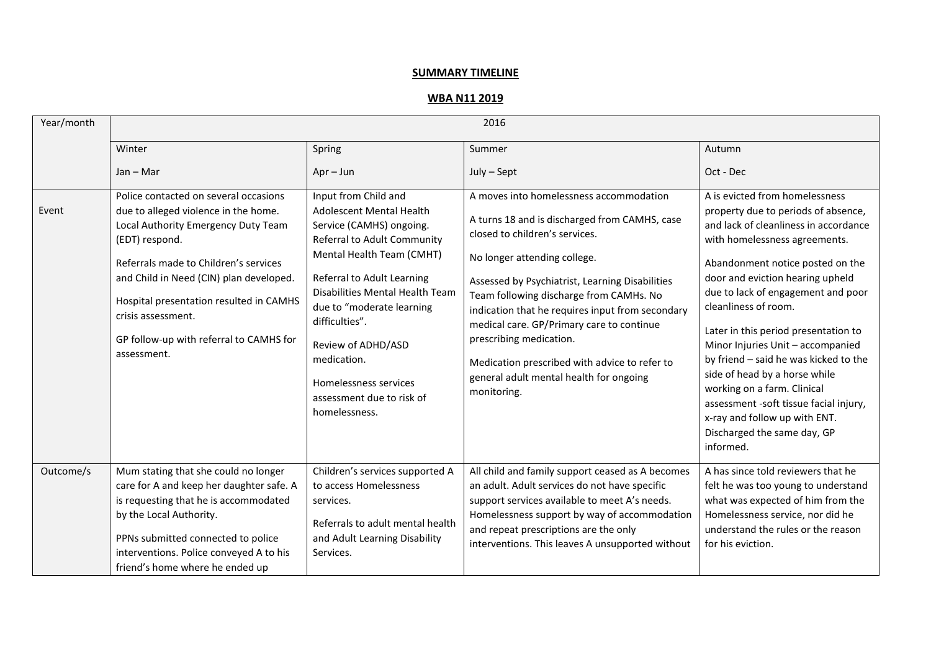## **SUMMARY TIMELINE**

## **WBA N11 2019**

| Year/month | 2016                                                                                                                                                                                                                                                                                                                                                  |                                                                                                                                                                                                                                                                                                                                                                             |                                                                                                                                                                                                                                                                                                                                                                                                                                                                                                 |                                                                                                                                                                                                                                                                                                                                                                                                                                                                                                                                                                                                    |
|------------|-------------------------------------------------------------------------------------------------------------------------------------------------------------------------------------------------------------------------------------------------------------------------------------------------------------------------------------------------------|-----------------------------------------------------------------------------------------------------------------------------------------------------------------------------------------------------------------------------------------------------------------------------------------------------------------------------------------------------------------------------|-------------------------------------------------------------------------------------------------------------------------------------------------------------------------------------------------------------------------------------------------------------------------------------------------------------------------------------------------------------------------------------------------------------------------------------------------------------------------------------------------|----------------------------------------------------------------------------------------------------------------------------------------------------------------------------------------------------------------------------------------------------------------------------------------------------------------------------------------------------------------------------------------------------------------------------------------------------------------------------------------------------------------------------------------------------------------------------------------------------|
|            | Winter                                                                                                                                                                                                                                                                                                                                                | Spring                                                                                                                                                                                                                                                                                                                                                                      | Summer                                                                                                                                                                                                                                                                                                                                                                                                                                                                                          | Autumn                                                                                                                                                                                                                                                                                                                                                                                                                                                                                                                                                                                             |
|            | $Jan - Mar$                                                                                                                                                                                                                                                                                                                                           | $Apr - Jun$                                                                                                                                                                                                                                                                                                                                                                 | July - Sept                                                                                                                                                                                                                                                                                                                                                                                                                                                                                     | Oct - Dec                                                                                                                                                                                                                                                                                                                                                                                                                                                                                                                                                                                          |
| Event      | Police contacted on several occasions<br>due to alleged violence in the home.<br>Local Authority Emergency Duty Team<br>(EDT) respond.<br>Referrals made to Children's services<br>and Child in Need (CIN) plan developed.<br>Hospital presentation resulted in CAMHS<br>crisis assessment.<br>GP follow-up with referral to CAMHS for<br>assessment. | Input from Child and<br><b>Adolescent Mental Health</b><br>Service (CAMHS) ongoing.<br>Referral to Adult Community<br>Mental Health Team (CMHT)<br>Referral to Adult Learning<br>Disabilities Mental Health Team<br>due to "moderate learning<br>difficulties".<br>Review of ADHD/ASD<br>medication.<br>Homelessness services<br>assessment due to risk of<br>homelessness. | A moves into homelessness accommodation<br>A turns 18 and is discharged from CAMHS, case<br>closed to children's services.<br>No longer attending college.<br>Assessed by Psychiatrist, Learning Disabilities<br>Team following discharge from CAMHs. No<br>indication that he requires input from secondary<br>medical care. GP/Primary care to continue<br>prescribing medication.<br>Medication prescribed with advice to refer to<br>general adult mental health for ongoing<br>monitoring. | A is evicted from homelessness<br>property due to periods of absence,<br>and lack of cleanliness in accordance<br>with homelessness agreements.<br>Abandonment notice posted on the<br>door and eviction hearing upheld<br>due to lack of engagement and poor<br>cleanliness of room.<br>Later in this period presentation to<br>Minor Injuries Unit - accompanied<br>by friend - said he was kicked to the<br>side of head by a horse while<br>working on a farm. Clinical<br>assessment -soft tissue facial injury,<br>x-ray and follow up with ENT.<br>Discharged the same day, GP<br>informed. |
| Outcome/s  | Mum stating that she could no longer<br>care for A and keep her daughter safe. A<br>is requesting that he is accommodated<br>by the Local Authority.<br>PPNs submitted connected to police<br>interventions. Police conveyed A to his<br>friend's home where he ended up                                                                              | Children's services supported A<br>to access Homelessness<br>services.<br>Referrals to adult mental health<br>and Adult Learning Disability<br>Services.                                                                                                                                                                                                                    | All child and family support ceased as A becomes<br>an adult. Adult services do not have specific<br>support services available to meet A's needs.<br>Homelessness support by way of accommodation<br>and repeat prescriptions are the only<br>interventions. This leaves A unsupported without                                                                                                                                                                                                 | A has since told reviewers that he<br>felt he was too young to understand<br>what was expected of him from the<br>Homelessness service, nor did he<br>understand the rules or the reason<br>for his eviction.                                                                                                                                                                                                                                                                                                                                                                                      |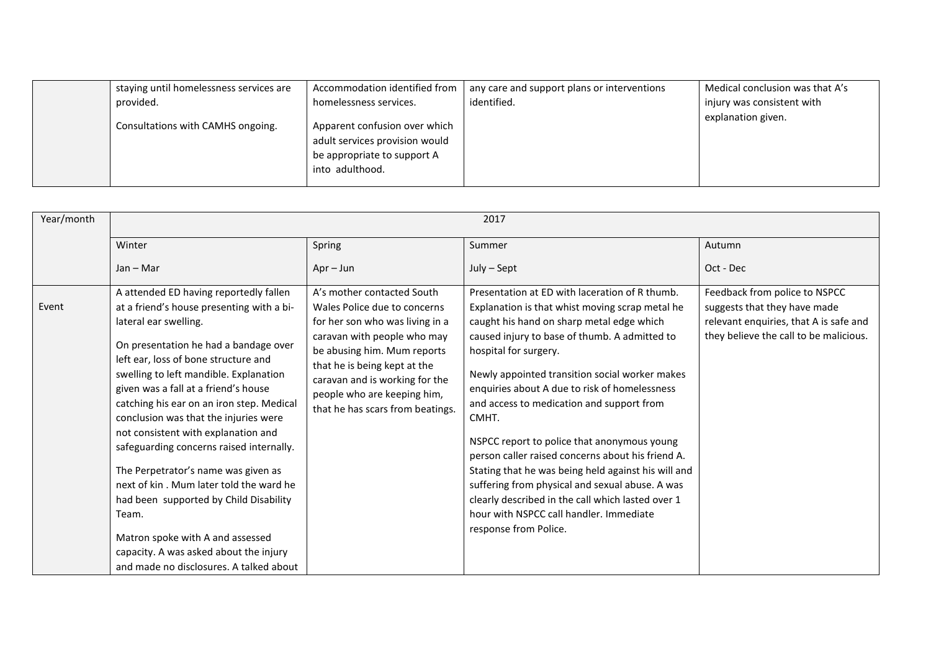| staying until homelessness services are | Accommodation identified from                                                                                     | any care and support plans or interventions | Medical conclusion was that A's |
|-----------------------------------------|-------------------------------------------------------------------------------------------------------------------|---------------------------------------------|---------------------------------|
| provided.                               | homelessness services.                                                                                            | identified.                                 | injury was consistent with      |
| Consultations with CAMHS ongoing.       | Apparent confusion over which<br>adult services provision would<br>be appropriate to support A<br>into adulthood. |                                             | explanation given.              |

| Year/month | 2017                                                                                                                                                                                                                                                                                                                                                                                                                                                                                                                                                                                                                                                                                                                   |                                                                                                                                                                                                                                                                                                  |                                                                                                                                                                                                                                                                                                                                                                                                                                                                                                                                                                                                                                                                                                                          |                                                                                                                                                   |
|------------|------------------------------------------------------------------------------------------------------------------------------------------------------------------------------------------------------------------------------------------------------------------------------------------------------------------------------------------------------------------------------------------------------------------------------------------------------------------------------------------------------------------------------------------------------------------------------------------------------------------------------------------------------------------------------------------------------------------------|--------------------------------------------------------------------------------------------------------------------------------------------------------------------------------------------------------------------------------------------------------------------------------------------------|--------------------------------------------------------------------------------------------------------------------------------------------------------------------------------------------------------------------------------------------------------------------------------------------------------------------------------------------------------------------------------------------------------------------------------------------------------------------------------------------------------------------------------------------------------------------------------------------------------------------------------------------------------------------------------------------------------------------------|---------------------------------------------------------------------------------------------------------------------------------------------------|
|            | Winter                                                                                                                                                                                                                                                                                                                                                                                                                                                                                                                                                                                                                                                                                                                 | Spring                                                                                                                                                                                                                                                                                           | Summer                                                                                                                                                                                                                                                                                                                                                                                                                                                                                                                                                                                                                                                                                                                   | Autumn                                                                                                                                            |
|            | $Jan - Mar$                                                                                                                                                                                                                                                                                                                                                                                                                                                                                                                                                                                                                                                                                                            | $Apr - Jun$                                                                                                                                                                                                                                                                                      | July - Sept                                                                                                                                                                                                                                                                                                                                                                                                                                                                                                                                                                                                                                                                                                              | Oct - Dec                                                                                                                                         |
| Event      | A attended ED having reportedly fallen<br>at a friend's house presenting with a bi-<br>lateral ear swelling.<br>On presentation he had a bandage over<br>left ear, loss of bone structure and<br>swelling to left mandible. Explanation<br>given was a fall at a friend's house<br>catching his ear on an iron step. Medical<br>conclusion was that the injuries were<br>not consistent with explanation and<br>safeguarding concerns raised internally.<br>The Perpetrator's name was given as<br>next of kin. Mum later told the ward he<br>had been supported by Child Disability<br>Team.<br>Matron spoke with A and assessed<br>capacity. A was asked about the injury<br>and made no disclosures. A talked about | A's mother contacted South<br>Wales Police due to concerns<br>for her son who was living in a<br>caravan with people who may<br>be abusing him. Mum reports<br>that he is being kept at the<br>caravan and is working for the<br>people who are keeping him,<br>that he has scars from beatings. | Presentation at ED with laceration of R thumb.<br>Explanation is that whist moving scrap metal he<br>caught his hand on sharp metal edge which<br>caused injury to base of thumb. A admitted to<br>hospital for surgery.<br>Newly appointed transition social worker makes<br>enquiries about A due to risk of homelessness<br>and access to medication and support from<br>CMHT.<br>NSPCC report to police that anonymous young<br>person caller raised concerns about his friend A.<br>Stating that he was being held against his will and<br>suffering from physical and sexual abuse. A was<br>clearly described in the call which lasted over 1<br>hour with NSPCC call handler. Immediate<br>response from Police. | Feedback from police to NSPCC<br>suggests that they have made<br>relevant enquiries, that A is safe and<br>they believe the call to be malicious. |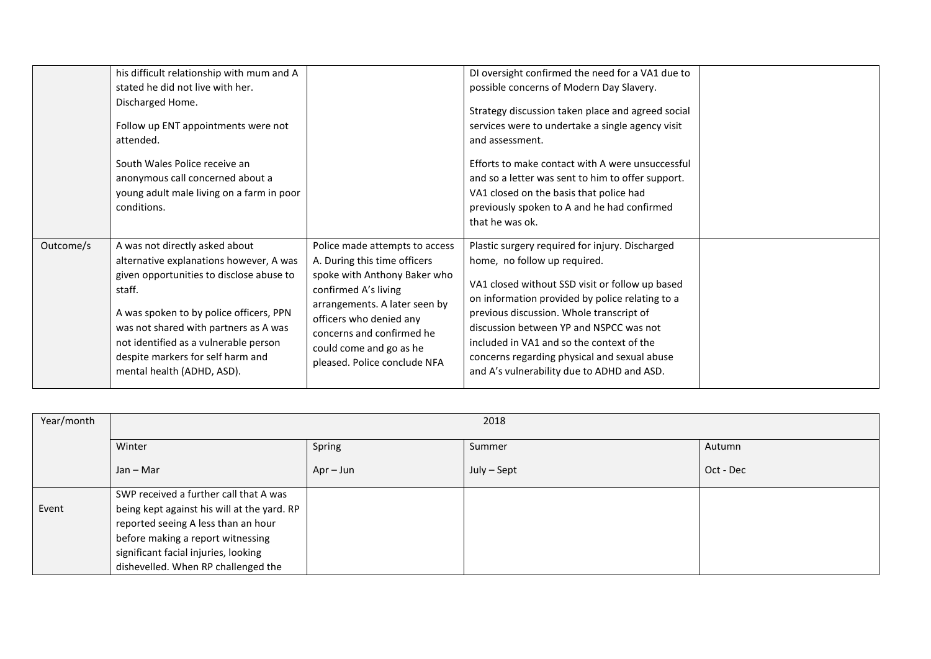|           | his difficult relationship with mum and A<br>stated he did not live with her.<br>Discharged Home.<br>Follow up ENT appointments were not<br>attended.<br>South Wales Police receive an<br>anonymous call concerned about a<br>young adult male living on a farm in poor<br>conditions.                                          |                                                                                                                                                                                                                                                                            | DI oversight confirmed the need for a VA1 due to<br>possible concerns of Modern Day Slavery.<br>Strategy discussion taken place and agreed social<br>services were to undertake a single agency visit<br>and assessment.<br>Efforts to make contact with A were unsuccessful<br>and so a letter was sent to him to offer support.<br>VA1 closed on the basis that police had<br>previously spoken to A and he had confirmed<br>that he was ok. |  |
|-----------|---------------------------------------------------------------------------------------------------------------------------------------------------------------------------------------------------------------------------------------------------------------------------------------------------------------------------------|----------------------------------------------------------------------------------------------------------------------------------------------------------------------------------------------------------------------------------------------------------------------------|------------------------------------------------------------------------------------------------------------------------------------------------------------------------------------------------------------------------------------------------------------------------------------------------------------------------------------------------------------------------------------------------------------------------------------------------|--|
| Outcome/s | A was not directly asked about<br>alternative explanations however, A was<br>given opportunities to disclose abuse to<br>staff.<br>A was spoken to by police officers, PPN<br>was not shared with partners as A was<br>not identified as a vulnerable person<br>despite markers for self harm and<br>mental health (ADHD, ASD). | Police made attempts to access<br>A. During this time officers<br>spoke with Anthony Baker who<br>confirmed A's living<br>arrangements. A later seen by<br>officers who denied any<br>concerns and confirmed he<br>could come and go as he<br>pleased. Police conclude NFA | Plastic surgery required for injury. Discharged<br>home, no follow up required.<br>VA1 closed without SSD visit or follow up based<br>on information provided by police relating to a<br>previous discussion. Whole transcript of<br>discussion between YP and NSPCC was not<br>included in VA1 and so the context of the<br>concerns regarding physical and sexual abuse<br>and A's vulnerability due to ADHD and ASD.                        |  |

| Year/month | 2018                                                                                                                                                                                                                                             |             |             |           |  |
|------------|--------------------------------------------------------------------------------------------------------------------------------------------------------------------------------------------------------------------------------------------------|-------------|-------------|-----------|--|
|            | Winter                                                                                                                                                                                                                                           | Spring      | Summer      | Autumn    |  |
|            | $Jan - Mar$                                                                                                                                                                                                                                      | $Apr - Jun$ | July - Sept | Oct - Dec |  |
| Event      | SWP received a further call that A was<br>being kept against his will at the yard. RP<br>reported seeing A less than an hour<br>before making a report witnessing<br>significant facial injuries, looking<br>dishevelled. When RP challenged the |             |             |           |  |